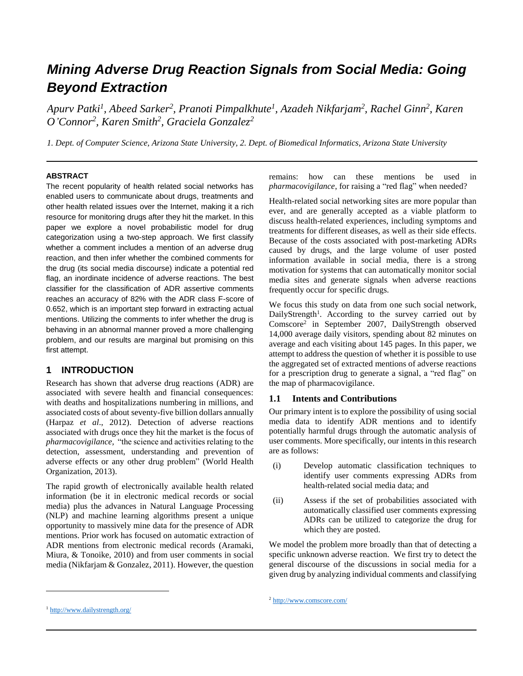# *Mining Adverse Drug Reaction Signals from Social Media: Going Beyond Extraction*

*Apurv Patki<sup>1</sup> , Abeed Sarker 2 , Pranoti Pimpalkhute<sup>1</sup> , Azadeh Nikfarjam<sup>2</sup> , Rachel Ginn<sup>2</sup> , Karen O'Connor<sup>2</sup> , Karen Smith<sup>2</sup> , Graciela Gonzalez<sup>2</sup>*

*1. Dept. of Computer Science, Arizona State University, 2. Dept. of Biomedical Informatics, Arizona State University*

#### **ABSTRACT**

The recent popularity of health related social networks has enabled users to communicate about drugs, treatments and other health related issues over the Internet, making it a rich resource for monitoring drugs after they hit the market. In this paper we explore a novel probabilistic model for drug categorization using a two-step approach. We first classify whether a comment includes a mention of an adverse drug reaction, and then infer whether the combined comments for the drug (its social media discourse) indicate a potential red flag, an inordinate incidence of adverse reactions. The best classifier for the classification of ADR assertive comments reaches an accuracy of 82% with the ADR class F-score of 0.652, which is an important step forward in extracting actual mentions. Utilizing the comments to infer whether the drug is behaving in an abnormal manner proved a more challenging problem, and our results are marginal but promising on this first attempt.

## **1 INTRODUCTION**

Research has shown that adverse drug reactions (ADR) are associated with severe health and financial consequences: with deaths and hospitalizations numbering in millions, and associated costs of about seventy-five billion dollars annually (Harpaz *et al*., 2012). Detection of adverse reactions associated with drugs once they hit the market is the focus of *pharmacovigilance,* "the science and activities relating to the detection, assessment, understanding and prevention of adverse effects or any other drug problem" (World Health Organization, 2013).

The rapid growth of electronically available health related information (be it in electronic medical records or social media) plus the advances in Natural Language Processing (NLP) and machine learning algorithms present a unique opportunity to massively mine data for the presence of ADR mentions. Prior work has focused on automatic extraction of ADR mentions from electronic medical records (Aramaki, Miura, & Tonoike, 2010) and from user comments in social media (Nikfarjam & Gonzalez, 2011). However, the question

remains: how can these mentions be used in *pharmacovigilance*, for raising a "red flag" when needed?

Health-related social networking sites are more popular than ever, and are generally accepted as a viable platform to discuss health-related experiences, including symptoms and treatments for different diseases, as well as their side effects. Because of the costs associated with post-marketing ADRs caused by drugs, and the large volume of user posted information available in social media, there is a strong motivation for systems that can automatically monitor social media sites and generate signals when adverse reactions frequently occur for specific drugs.

We focus this study on data from one such social network, DailyStrength<sup>1</sup>. According to the survey carried out by Comscore<sup>2</sup> in September 2007, DailyStrength observed 14,000 average daily visitors, spending about 82 minutes on average and each visiting about 145 pages. In this paper, we attempt to address the question of whether it is possible to use the aggregated set of extracted mentions of adverse reactions for a prescription drug to generate a signal, a "red flag" on the map of pharmacovigilance.

#### **1.1 Intents and Contributions**

Our primary intent is to explore the possibility of using social media data to identify ADR mentions and to identify potentially harmful drugs through the automatic analysis of user comments. More specifically, our intents in this research are as follows:

- (i) Develop automatic classification techniques to identify user comments expressing ADRs from health-related social media data; and
- (ii) Assess if the set of probabilities associated with automatically classified user comments expressing ADRs can be utilized to categorize the drug for which they are posted.

We model the problem more broadly than that of detecting a specific unknown adverse reaction. We first try to detect the general discourse of the discussions in social media for a given drug by analyzing individual comments and classifying

 $\overline{a}$ 

<sup>1</sup> <http://www.dailystrength.org/>

<sup>2</sup> <http://www.comscore.com/>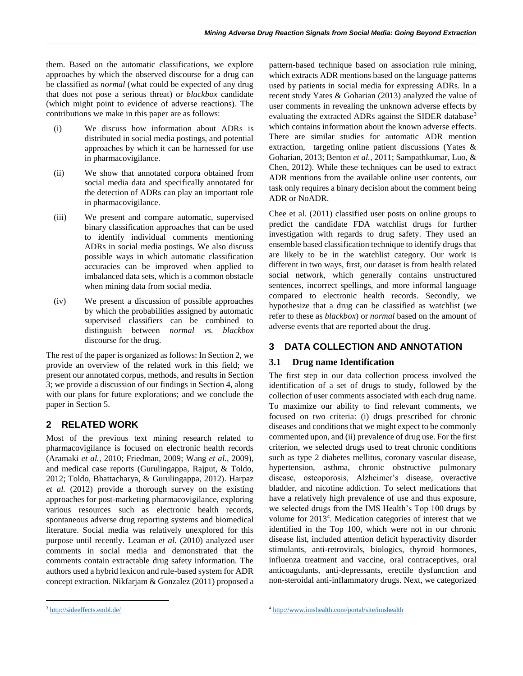them. Based on the automatic classifications, we explore approaches by which the observed discourse for a drug can be classified as *normal* (what could be expected of any drug that does not pose a serious threat) or *blackbox* candidate (which might point to evidence of adverse reactions). The contributions we make in this paper are as follows:

- (i) We discuss how information about ADRs is distributed in social media postings, and potential approaches by which it can be harnessed for use in pharmacovigilance.
- (ii) We show that annotated corpora obtained from social media data and specifically annotated for the detection of ADRs can play an important role in pharmacovigilance.
- (iii) We present and compare automatic, supervised binary classification approaches that can be used to identify individual comments mentioning ADRs in social media postings. We also discuss possible ways in which automatic classification accuracies can be improved when applied to imbalanced data sets, which is a common obstacle when mining data from social media.
- (iv) We present a discussion of possible approaches by which the probabilities assigned by automatic supervised classifiers can be combined to distinguish between *normal vs. blackbox*  discourse for the drug.

The rest of the paper is organized as follows: In Section 2, we provide an overview of the related work in this field; we present our annotated corpus, methods, and results in Section 3; we provide a discussion of our findings in Section 4, along with our plans for future explorations; and we conclude the paper in Section 5.

# **2 RELATED WORK**

Most of the previous text mining research related to pharmacovigilance is focused on electronic health records (Aramaki *et al.*, 2010; Friedman, 2009; Wang *et al.*, 2009), and medical case reports (Gurulingappa, Rajput, & Toldo, 2012; Toldo, Bhattacharya, & Gurulingappa, 2012). Harpaz *et al.* (2012) provide a thorough survey on the existing approaches for post-marketing pharmacovigilance, exploring various resources such as electronic health records, spontaneous adverse drug reporting systems and biomedical literature. Social media was relatively unexplored for this purpose until recently. Leaman *et al.* (2010) analyzed user comments in social media and demonstrated that the comments contain extractable drug safety information. The authors used a hybrid lexicon and rule-based system for ADR concept extraction. Nikfarjam & Gonzalez (2011) proposed a pattern-based technique based on association rule mining, which extracts ADR mentions based on the language patterns used by patients in social media for expressing ADRs. In a recent study Yates & Goharian (2013) analyzed the value of user comments in revealing the unknown adverse effects by evaluating the extracted ADRs against the SIDER database<sup>3</sup> which contains information about the known adverse effects. There are similar studies for automatic ADR mention extraction, targeting online patient discussions (Yates & Goharian, 2013; Benton *et al.*, 2011; Sampathkumar, Luo, & Chen, 2012). While these techniques can be used to extract ADR mentions from the available online user contents, our task only requires a binary decision about the comment being ADR or NoADR.

Chee et al. (2011) classified user posts on online groups to predict the candidate FDA watchlist drugs for further investigation with regards to drug safety. They used an ensemble based classification technique to identify drugs that are likely to be in the watchlist category. Our work is different in two ways, first, our dataset is from health related social network, which generally contains unstructured sentences, incorrect spellings, and more informal language compared to electronic health records. Secondly, we hypothesize that a drug can be classified as watchlist (we refer to these as *blackbox*) or *normal* based on the amount of adverse events that are reported about the drug.

## **3 DATA COLLECTION AND ANNOTATION**

## **3.1 Drug name Identification**

The first step in our data collection process involved the identification of a set of drugs to study, followed by the collection of user comments associated with each drug name. To maximize our ability to find relevant comments, we focused on two criteria: (i) drugs prescribed for chronic diseases and conditions that we might expect to be commonly commented upon, and (ii) prevalence of drug use. For the first criterion, we selected drugs used to treat chronic conditions such as type 2 diabetes mellitus, coronary vascular disease, hypertension, asthma, chronic obstructive pulmonary disease, osteoporosis, Alzheimer's disease, overactive bladder, and nicotine addiction. To select medications that have a relatively high prevalence of use and thus exposure, we selected drugs from the IMS Health's Top 100 drugs by volume for 2013<sup>4</sup>. Medication categories of interest that we identified in the Top 100, which were not in our chronic disease list, included attention deficit hyperactivity disorder stimulants, anti-retrovirals, biologics, thyroid hormones, influenza treatment and vaccine, oral contraceptives, oral anticoagulants, anti-depressants, erectile dysfunction and non-steroidal anti-inflammatory drugs. Next, we categorized

 $\overline{a}$ 

<sup>3</sup> <http://sideeffects.embl.de/>

<sup>4</sup> <http://www.imshealth.com/portal/site/imshealth>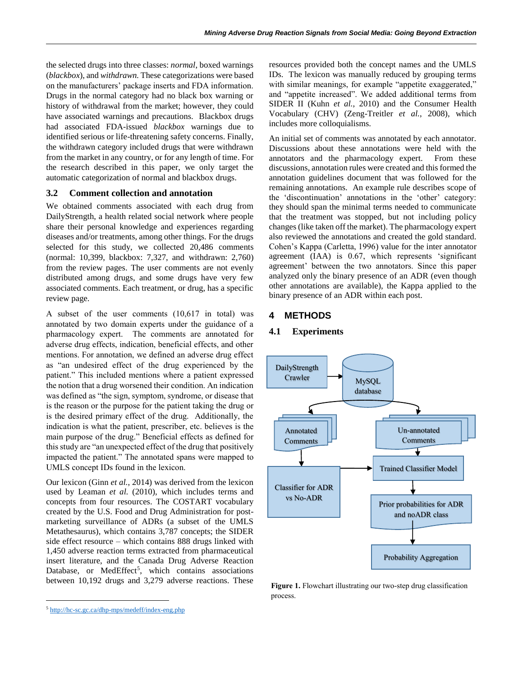the selected drugs into three classes: *normal*, boxed warnings (*blackbox*), and *withdrawn.* These categorizations were based on the manufacturers' package inserts and FDA information. Drugs in the normal category had no black box warning or history of withdrawal from the market; however, they could have associated warnings and precautions. Blackbox drugs had associated FDA-issued *blackbox* warnings due to identified serious or life-threatening safety concerns. Finally, the withdrawn category included drugs that were withdrawn from the market in any country, or for any length of time. For the research described in this paper, we only target the automatic categorization of normal and blackbox drugs.

#### **3.2 Comment collection and annotation**

We obtained comments associated with each drug from DailyStrength, a health related social network where people share their personal knowledge and experiences regarding diseases and/or treatments, among other things. For the drugs selected for this study, we collected 20,486 comments (normal: 10,399, blackbox: 7,327, and withdrawn: 2,760) from the review pages. The user comments are not evenly distributed among drugs, and some drugs have very few associated comments. Each treatment, or drug, has a specific review page.

A subset of the user comments (10,617 in total) was annotated by two domain experts under the guidance of a pharmacology expert. The comments are annotated for adverse drug effects, indication, beneficial effects, and other mentions. For annotation, we defined an adverse drug effect as "an undesired effect of the drug experienced by the patient." This included mentions where a patient expressed the notion that a drug worsened their condition. An indication was defined as "the sign, symptom, syndrome, or disease that is the reason or the purpose for the patient taking the drug or is the desired primary effect of the drug. Additionally, the indication is what the patient, prescriber, etc. believes is the main purpose of the drug." Beneficial effects as defined for this study are "an unexpected effect of the drug that positively impacted the patient." The annotated spans were mapped to UMLS concept IDs found in the lexicon.

Our lexicon (Ginn *et al.*, 2014) was derived from the lexicon used by Leaman *et al.* (2010), which includes terms and concepts from four resources. The COSTART vocabulary created by the U.S. Food and Drug Administration for postmarketing surveillance of ADRs (a subset of the UMLS Metathesaurus), which contains 3,787 concepts; the SIDER side effect resource – which contains 888 drugs linked with 1,450 adverse reaction terms extracted from pharmaceutical insert literature, and the Canada Drug Adverse Reaction Database, or MedEffect<sup>5</sup>, which contains associations between 10,192 drugs and 3,279 adverse reactions. These

 $\overline{a}$ 

resources provided both the concept names and the UMLS IDs. The lexicon was manually reduced by grouping terms with similar meanings, for example "appetite exaggerated," and "appetite increased". We added additional terms from SIDER II (Kuhn *et al.*, 2010) and the Consumer Health Vocabulary (CHV) (Zeng-Treitler *et al.*, 2008), which includes more colloquialisms.

An initial set of comments was annotated by each annotator. Discussions about these annotations were held with the annotators and the pharmacology expert. From these discussions, annotation rules were created and this formed the annotation guidelines document that was followed for the remaining annotations. An example rule describes scope of the 'discontinuation' annotations in the 'other' category: they should span the minimal terms needed to communicate that the treatment was stopped, but not including policy changes (like taken off the market). The pharmacology expert also reviewed the annotations and created the gold standard. Cohen's Kappa (Carletta, 1996) value for the inter annotator agreement (IAA) is 0.67, which represents 'significant agreement' between the two annotators. Since this paper analyzed only the binary presence of an ADR (even though other annotations are available), the Kappa applied to the binary presence of an ADR within each post.

#### **4 METHODS**

#### **4.1 Experiments**



**Figure 1.** Flowchart illustrating our two-step drug classification process.

<sup>5</sup> <http://hc-sc.gc.ca/dhp-mps/medeff/index-eng.php>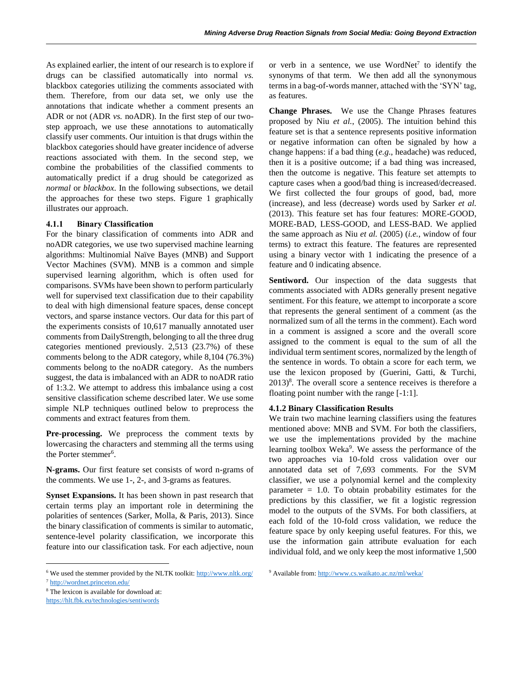As explained earlier, the intent of our research is to explore if drugs can be classified automatically into normal *vs.* blackbox categories utilizing the comments associated with them. Therefore, from our data set, we only use the annotations that indicate whether a comment presents an ADR or not (ADR *vs.* noADR). In the first step of our twostep approach, we use these annotations to automatically classify user comments. Our intuition is that drugs within the blackbox categories should have greater incidence of adverse reactions associated with them. In the second step, we combine the probabilities of the classified comments to automatically predict if a drug should be categorized as *normal* or *blackbox*. In the following subsections, we detail the approaches for these two steps. Figure 1 graphically illustrates our approach.

#### **4.1.1 Binary Classification**

For the binary classification of comments into ADR and noADR categories, we use two supervised machine learning algorithms: Multinomial Naïve Bayes (MNB) and Support Vector Machines (SVM). MNB is a common and simple supervised learning algorithm, which is often used for comparisons. SVMs have been shown to perform particularly well for supervised text classification due to their capability to deal with high dimensional feature spaces, dense concept vectors, and sparse instance vectors. Our data for this part of the experiments consists of 10,617 manually annotated user comments from DailyStrength, belonging to all the three drug categories mentioned previously. 2,513 (23.7%) of these comments belong to the ADR category, while 8,104 (76.3%) comments belong to the noADR category. As the numbers suggest, the data is imbalanced with an ADR to noADR ratio of 1:3.2. We attempt to address this imbalance using a cost sensitive classification scheme described later. We use some simple NLP techniques outlined below to preprocess the comments and extract features from them.

**Pre-processing.** We preprocess the comment texts by lowercasing the characters and stemming all the terms using the Porter stemmer<sup>6</sup>.

**N-grams.** Our first feature set consists of word n-grams of the comments. We use 1-, 2-, and 3-grams as features.

**Synset Expansions.** It has been shown in past research that certain terms play an important role in determining the polarities of sentences (Sarker, Molla, & Paris, 2013). Since the binary classification of comments is similar to automatic, sentence-level polarity classification, we incorporate this feature into our classification task. For each adjective, noun

or verb in a sentence, we use  $WordNet^7$  to identify the synonyms of that term. We then add all the synonymous terms in a bag-of-words manner, attached with the 'SYN' tag, as features.

**Change Phrases.** We use the Change Phrases features proposed by Niu *et al.*, (2005). The intuition behind this feature set is that a sentence represents positive information or negative information can often be signaled by how a change happens: if a bad thing (*e.g*., headache) was reduced, then it is a positive outcome; if a bad thing was increased, then the outcome is negative. This feature set attempts to capture cases when a good/bad thing is increased/decreased. We first collected the four groups of good, bad, more (increase), and less (decrease) words used by Sarker *et al.* (2013). This feature set has four features: MORE-GOOD, MORE-BAD, LESS-GOOD, and LESS-BAD. We applied the same approach as Niu *et al.* (2005) (*i.e.*, window of four terms) to extract this feature. The features are represented using a binary vector with 1 indicating the presence of a feature and 0 indicating absence.

**Sentiword.** Our inspection of the data suggests that comments associated with ADRs generally present negative sentiment. For this feature, we attempt to incorporate a score that represents the general sentiment of a comment (as the normalized sum of all the terms in the comment). Each word in a comment is assigned a score and the overall score assigned to the comment is equal to the sum of all the individual term sentiment scores, normalized by the length of the sentence in words. To obtain a score for each term, we use the lexicon proposed by (Guerini, Gatti, & Turchi,  $2013$ <sup>8</sup>. The overall score a sentence receives is therefore a floating point number with the range [-1:1].

#### **4.1.2 Binary Classification Results**

We train two machine learning classifiers using the features mentioned above: MNB and SVM. For both the classifiers, we use the implementations provided by the machine learning toolbox Weka<sup>9</sup>. We assess the performance of the two approaches via 10-fold cross validation over our annotated data set of 7,693 comments. For the SVM classifier, we use a polynomial kernel and the complexity parameter  $= 1.0$ . To obtain probability estimates for the predictions by this classifier, we fit a logistic regression model to the outputs of the SVMs. For both classifiers, at each fold of the 10-fold cross validation, we reduce the feature space by only keeping useful features. For this, we use the information gain attribute evaluation for each individual fold, and we only keep the most informative 1,500

 $\overline{a}$ 

<sup>6</sup> We used the stemmer provided by the NLTK toolkit[: http://www.nltk.org/](http://www.nltk.org/)

<sup>7</sup> <http://wordnet.princeton.edu/>

<sup>8</sup> The lexicon is available for download at:

<https://hlt.fbk.eu/technologies/sentiwords>

<sup>9</sup> Available from[: http://www.cs.waikato.ac.nz/ml/weka/](http://www.cs.waikato.ac.nz/ml/weka/)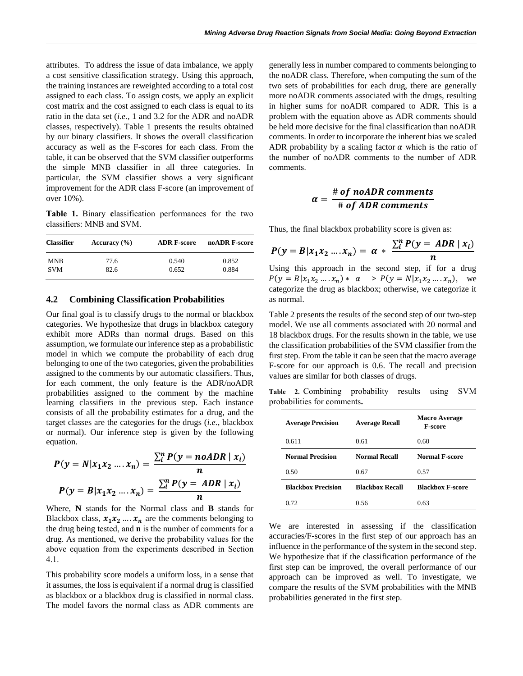attributes. To address the issue of data imbalance, we apply a cost sensitive classification strategy. Using this approach, the training instances are reweighted according to a total cost assigned to each class. To assign costs, we apply an explicit cost matrix and the cost assigned to each class is equal to its ratio in the data set (*i.e.,* 1 and 3.2 for the ADR and noADR classes, respectively). Table 1 presents the results obtained by our binary classifiers. It shows the overall classification accuracy as well as the F-scores for each class. From the table, it can be observed that the SVM classifier outperforms the simple MNB classifier in all three categories. In particular, the SVM classifier shows a very significant improvement for the ADR class F-score (an improvement of over 10%).

**Table 1.** Binary **c**lassification performances for the two classifiers: MNB and SVM.

| <b>Classifier</b> | Accuracy $(\% )$ | <b>ADR F-score</b> | noADR F-score |
|-------------------|------------------|--------------------|---------------|
| <b>MNB</b>        | 77.6             | 0.540              | 0.852         |
| <b>SVM</b>        | 82.6             | 0.652              | 0.884         |

#### **4.2 Combining Classification Probabilities**

Our final goal is to classify drugs to the normal or blackbox categories. We hypothesize that drugs in blackbox category exhibit more ADRs than normal drugs. Based on this assumption, we formulate our inference step as a probabilistic model in which we compute the probability of each drug belonging to one of the two categories, given the probabilities assigned to the comments by our automatic classifiers. Thus, for each comment, the only feature is the ADR/noADR probabilities assigned to the comment by the machine learning classifiers in the previous step. Each instance consists of all the probability estimates for a drug, and the target classes are the categories for the drugs (*i.e.*, blackbox or normal). Our inference step is given by the following equation.

$$
P(y = N | x_1 x_2 ... x_n) = \frac{\sum_{i}^{n} P(y = n0ADR | x_i)}{n}
$$

$$
P(y = B | x_1 x_2 ... x_n) = \frac{\sum_{i}^{n} P(y = ADR | x_i)}{n}
$$

Where, **N** stands for the Normal class and **B** stands for Blackbox class,  $x_1 x_2 ... x_n$  are the comments belonging to the drug being tested, and **n** is the number of comments for a drug. As mentioned, we derive the probability values for the above equation from the experiments described in Section 4.1.

This probability score models a uniform loss, in a sense that it assumes, the loss is equivalent if a normal drug is classified as blackbox or a blackbox drug is classified in normal class. The model favors the normal class as ADR comments are generally less in number compared to comments belonging to the noADR class. Therefore, when computing the sum of the two sets of probabilities for each drug, there are generally more noADR comments associated with the drugs, resulting in higher sums for noADR compared to ADR. This is a problem with the equation above as ADR comments should be held more decisive for the final classification than noADR comments. In order to incorporate the inherent bias we scaled ADR probability by a scaling factor  $\alpha$  which is the ratio of the number of noADR comments to the number of ADR comments.

$$
\alpha = \frac{\text{# of noADR comments}}{\text{# of ADR comments}}
$$

Thus, the final blackbox probability score is given as:

$$
P(y = B | x_1 x_2 \dots x_n) = \alpha * \frac{\sum_{i}^{n} P(y = ADR | x_i)}{n}
$$

Using this approach in the second step, if for a drug  $P(y = B | x_1 x_2 ... x_n) * \alpha > P(y = N | x_1 x_2 ... x_n),$  we categorize the drug as blackbox; otherwise, we categorize it as normal.

Table 2 presents the results of the second step of our two-step model. We use all comments associated with 20 normal and 18 blackbox drugs. For the results shown in the table, we use the classification probabilities of the SVM classifier from the first step. From the table it can be seen that the macro average F-score for our approach is 0.6. The recall and precision values are similar for both classes of drugs.

**Table 2.** Combining probability results using SVM probabilities for comments**.**

| <b>Average Precision</b>  | <b>Average Recall</b>  | <b>Macro Average</b><br><b>F-score</b> |  |
|---------------------------|------------------------|----------------------------------------|--|
| 0.611                     | 0.61                   | 0.60                                   |  |
| <b>Normal Precision</b>   | Normal Recall          | <b>Normal F-score</b>                  |  |
| 0.50                      | 0.67                   | 0.57                                   |  |
| <b>Blackbox Precision</b> | <b>Blackbox Recall</b> | <b>Blackbox F-score</b>                |  |
| 0.72                      | 0.56                   | 0.63                                   |  |

We are interested in assessing if the classification accuracies/F-scores in the first step of our approach has an influence in the performance of the system in the second step. We hypothesize that if the classification performance of the first step can be improved, the overall performance of our approach can be improved as well. To investigate, we compare the results of the SVM probabilities with the MNB probabilities generated in the first step.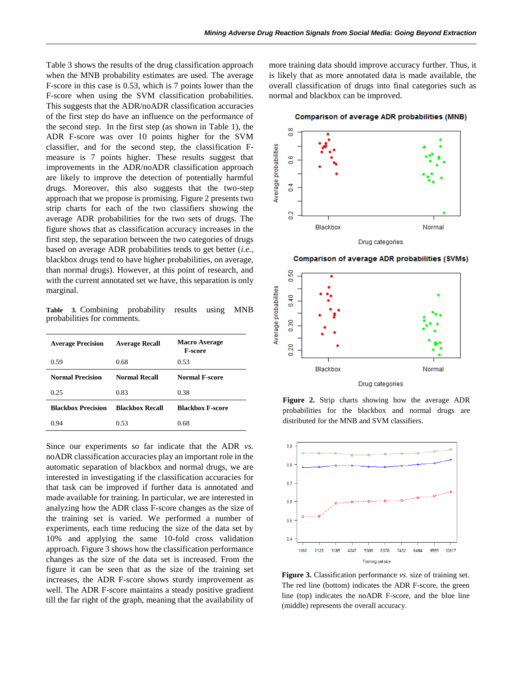Table 3 shows the results of the drug classification approach when the MNB probability estimates are used. The average F-score in this case is 0.53, which is 7 points lower than the F-score when using the SVM classification probabilities. This suggests that the ADR/noADR classification accuracies of the first step do have an influence on the performance of the second step. In the first step (as shown in Table 1), the ADR F-score was over 10 points higher for the SVM classifier, and for the second step, the classification Fmeasure is 7 points higher. These results suggest that improvements in the ADR/noADR classification approach are likely to improve the detection of potentially harmful drugs. Moreover, this also suggests that the two-step approach that we propose is promising. Figure 2 presents two strip charts for each of the two classifiers showing the average ADR probabilities for the two sets of drugs. The figure shows that as classification accuracy increases in the first step, the separation between the two categories of drugs based on average ADR probabilities tends to get better (*i.e.*, blackbox drugs tend to have higher probabilities, on average, than normal drugs). However, at this point of research, and with the current annotated set we have, this separation is only marginal.

**Table 3.** Combining probability results using MNB probabilities for comments.

| <b>Average Precision</b>  | <b>Average Recall</b>  | <b>Macro Average</b><br><b>F-score</b> |
|---------------------------|------------------------|----------------------------------------|
| 0.59                      | 0.68                   | 0.53                                   |
| <b>Normal Precision</b>   | Normal Recall          | Normal F-score                         |
| 0.25                      | 0.83                   | 0.38                                   |
| <b>Blackbox Precision</b> | <b>Blackbox Recall</b> | <b>Blackbox F-score</b>                |
| 0.94                      | 0.53                   | 0.68                                   |

Since our experiments so far indicate that the ADR *vs.*  noADR classification accuracies play an important role in the automatic separation of blackbox and normal drugs, we are interested in investigating if the classification accuracies for that task can be improved if further data is annotated and made available for training. In particular, we are interested in analyzing how the ADR class F-score changes as the size of the training set is varied. We performed a number of experiments, each time reducing the size of the data set by 10% and applying the same 10-fold cross validation approach. Figure 3 shows how the classification performance changes as the size of the data set is increased. From the figure it can be seen that as the size of the training set increases, the ADR F-score shows sturdy improvement as well. The ADR F-score maintains a steady positive gradient till the far right of the graph, meaning that the availability of more training data should improve accuracy further. Thus, it is likely that as more annotated data is made available, the overall classification of drugs into final categories such as normal and blackbox can be improved.

**Comparison of average ADR probabilities (MNB)** 



Comparison of average ADR probabilities (SVMs)



**Figure 2.** Strip charts showing how the average ADR probabilities for the blackbox and normal drugs are distributed for the MNB and SVM classifiers.



**Figure 3.** Classification performance *vs.* size of training set. The red line (bottom) indicates the ADR F-score, the green line (top) indicates the noADR F-score, and the blue line (middle) represents the overall accuracy.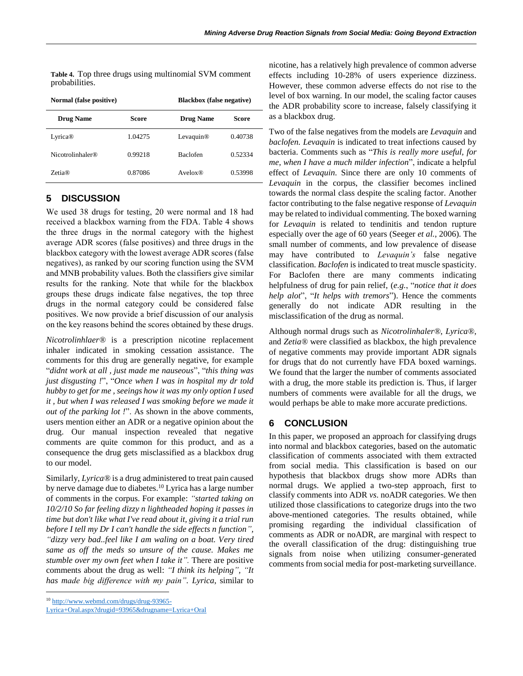**Table 4.** Top three drugs using multinomial SVM comment probabilities.

| Normal (false positive)      |         | <b>Blackbox</b> (false negative) |         |  |
|------------------------------|---------|----------------------------------|---------|--|
| <b>Drug Name</b>             | Score   | <b>Drug Name</b>                 | Score   |  |
| Lyrica <sup>®</sup>          | 1.04275 | Levaquin <sup>®</sup>            | 0.40738 |  |
| Nicotrolinhaler <sup>®</sup> | 0.99218 | <b>Baclofen</b>                  | 0.52334 |  |
| $Zeta$ <sup>R)</sup>         | 0.87086 | Avelox@                          | 0.53998 |  |

# **5 DISCUSSION**

We used 38 drugs for testing, 20 were normal and 18 had received a blackbox warning from the FDA. Table 4 shows the three drugs in the normal category with the highest average ADR scores (false positives) and three drugs in the blackbox category with the lowest average ADR scores (false negatives), as ranked by our scoring function using the SVM and MNB probability values. Both the classifiers give similar results for the ranking. Note that while for the blackbox groups these drugs indicate false negatives, the top three drugs in the normal category could be considered false positives. We now provide a brief discussion of our analysis on the key reasons behind the scores obtained by these drugs.

*Nicotrolinhlaer®* is a prescription nicotine replacement inhaler indicated in smoking cessation assistance. The comments for this drug are generally negative, for example "*didnt work at all , just made me nauseous*", "*this thing was just disgusting !*", "*Once when I was in hospital my dr told hubby to get for me , seeings how it was my only option I used it , but when I was released I was smoking before we made it out of the parking lot !*". As shown in the above comments, users mention either an ADR or a negative opinion about the drug. Our manual inspection revealed that negative comments are quite common for this product, and as a consequence the drug gets misclassified as a blackbox drug to our model.

Similarly, *Lyrica®* is a drug administered to treat pain caused by nerve damage due to diabetes.<sup>10</sup> Lyrica has a large number of comments in the corpus. For example: *"started taking on 10/2/10 So far feeling dizzy n lightheaded hoping it passes in time but don't like what I've read about it, giving it a trial run before I tell my Dr I can't handle the side effects n function", "dizzy very bad..feel like I am waling on a boat. Very tired same as off the meds so unsure of the cause. Makes me stumble over my own feet when I take it".* There are positive comments about the drug as well: *"I think its helping", "It has made big difference with my pain". Lyrica*, similar to

 $\overline{a}$ 

[Lyrica+Oral.aspx?drugid=93965&drugname=Lyrica+Oral](http://www.webmd.com/drugs/drug-93965-Lyrica+Oral.aspx?drugid=93965&drugname=Lyrica+Oral)

nicotine, has a relatively high prevalence of common adverse effects including 10-28% of users experience dizziness. However, these common adverse effects do not rise to the level of box warning. In our model, the scaling factor causes the ADR probability score to increase, falsely classifying it as a blackbox drug.

Two of the false negatives from the models are *Levaquin* and *baclofen. Levaquin* is indicated to treat infections caused by bacteria. Comments such as "*This is really more useful, for me, when I have a much milder infection*", indicate a helpful effect of *Levaquin.* Since there are only 10 comments of *Levaquin* in the corpus, the classifier becomes inclined towards the normal class despite the scaling factor. Another factor contributing to the false negative response of *Levaquin* may be related to individual commenting. The boxed warning for *Levaquin* is related to tendinitis and tendon rupture especially over the age of 60 years (Seeger *et al.*, 2006)*.* The small number of comments, and low prevalence of disease may have contributed to *Levaquin's* false negative classification. *Baclofen* is indicated to treat muscle spasticity. For Baclofen there are many comments indicating helpfulness of drug for pain relief, (*e.g.*, "*notice that it does help alot*", "*It helps with tremors*"). Hence the comments generally do not indicate ADR resulting in the misclassification of the drug as normal.

Although normal drugs such as *Nicotrolinhaler®*, *Lyrica®*, and *Zetia®* were classified as blackbox, the high prevalence of negative comments may provide important ADR signals for drugs that do not currently have FDA boxed warnings. We found that the larger the number of comments associated with a drug, the more stable its prediction is. Thus, if larger numbers of comments were available for all the drugs, we would perhaps be able to make more accurate predictions.

## **6 CONCLUSION**

In this paper, we proposed an approach for classifying drugs into normal and blackbox categories, based on the automatic classification of comments associated with them extracted from social media. This classification is based on our hypothesis that blackbox drugs show more ADRs than normal drugs. We applied a two-step approach, first to classify comments into ADR *vs*. noADR categories. We then utilized those classifications to categorize drugs into the two above-mentioned categories. The results obtained, while promising regarding the individual classification of comments as ADR or noADR, are marginal with respect to the overall classification of the drug: distinguishing true signals from noise when utilizing consumer-generated comments from social media for post-marketing surveillance.

<sup>10</sup> [http://www.webmd.com/drugs/drug-93965-](http://www.webmd.com/drugs/drug-93965-Lyrica+Oral.aspx?drugid=93965&drugname=Lyrica+Oral)